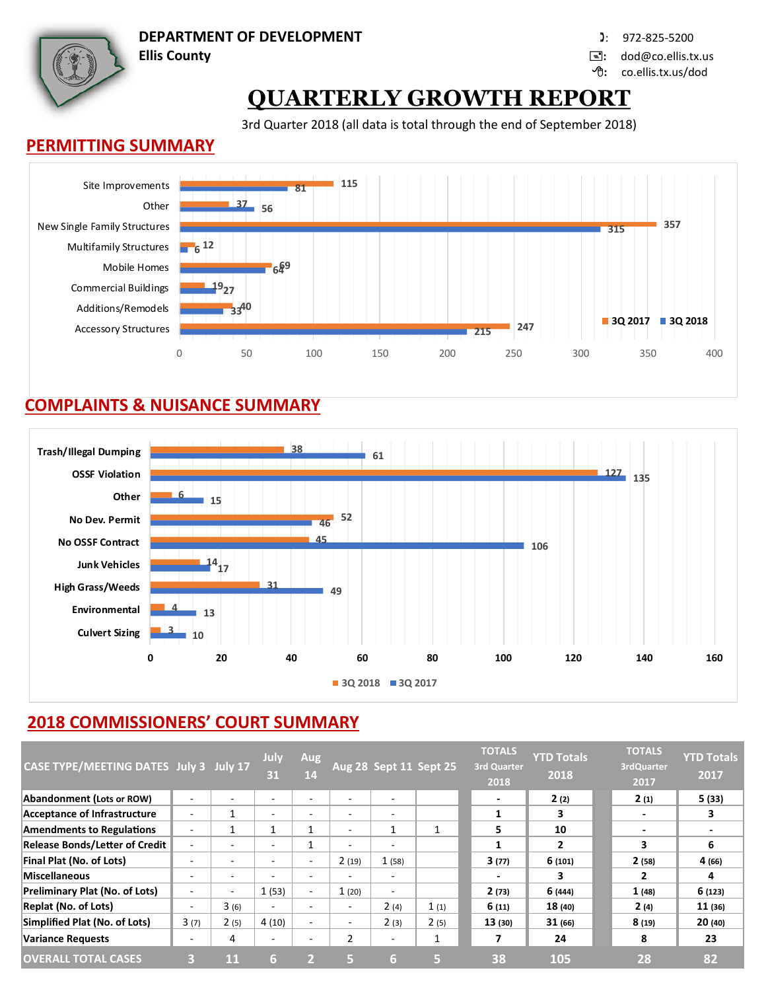**DEPARTMENT OF DEVELOPMENT** : 972-825-5200

**Ellis County :** dod@co.ellis.tx.us

**:** co.ellis.tx.us/dod

# **QUARTERLY GROWTH REPORT**

3rd Quarter 2018 (all data is total through the end of September 2018)

#### **PERMITTING SUMMARY**



### **COMPLAINTS & NUISANCE SUMMARY**



## **2018 COMMISSIONERS' COURT SUMMARY**

| CASE TYPE/MEETING DATES July 3 July 17 |                          |                          | July<br>31               | <b>Aug</b><br>14         |                          | Aug 28 Sept 11 Sept 25   |                          | <b>TOTALS</b><br><b>3rd Quarter</b><br>2018 | <b>YTD Totals</b><br>2018 | <b>TOTALS</b><br>3rdQuarter<br>2017 | <b>YTD Totals</b><br>2017 |
|----------------------------------------|--------------------------|--------------------------|--------------------------|--------------------------|--------------------------|--------------------------|--------------------------|---------------------------------------------|---------------------------|-------------------------------------|---------------------------|
| Abandonment (Lots or ROW)              |                          |                          | ٠                        |                          |                          | $\sim$                   |                          | $\overline{\phantom{0}}$                    | 2(2)                      | 2(1)                                | 5 (33)                    |
| Acceptance of Infrastructure           |                          |                          | $\overline{\phantom{a}}$ | $\overline{\phantom{a}}$ | ٠                        | $\sim$                   |                          |                                             | 3                         | $\overline{\phantom{a}}$            | 3                         |
| <b>Amendments to Regulations</b>       |                          |                          |                          |                          |                          | 1                        |                          | 5                                           | 10                        | $\overline{\phantom{a}}$            |                           |
| <b>Release Bonds/Letter of Credit</b>  |                          | -                        | $\overline{\phantom{a}}$ | 1                        | $\overline{\phantom{a}}$ | $\overline{\phantom{a}}$ |                          |                                             | $\overline{2}$            | 3                                   | 6                         |
| Final Plat (No. of Lots)               |                          | -                        | $\overline{\phantom{a}}$ | ۰                        | 2(19)                    | 1(58)                    |                          | 3(77)                                       | 6(101)                    | 2(58)                               | 4 (66)                    |
| <b>Miscellaneous</b>                   |                          | $\overline{\phantom{a}}$ | $\overline{\phantom{0}}$ | ۰                        | $\sim$                   | $\sim$                   |                          | ٠                                           | 3                         | 2                                   | 4                         |
| <b>Preliminary Plat (No. of Lots)</b>  |                          | ۰.                       | 1(53)                    | ٠                        | 1(20)                    | ۰                        |                          | 2(73)                                       | 6 (444)                   | 1(48)                               | 6(123)                    |
| <b>Replat (No. of Lots)</b>            | $\overline{\phantom{0}}$ | 3(6)                     | $\overline{\phantom{a}}$ | $\overline{\phantom{0}}$ | $\overline{\phantom{0}}$ | 2(4)                     | 1(1)                     | 6(11)                                       | 18(40)                    | 2(4)                                | 11(36)                    |
| Simplified Plat (No. of Lots)          | 3(7)                     | 2(5)                     | 4(10)                    | $\overline{\phantom{a}}$ | $\overline{\phantom{a}}$ | 2(3)                     | 2(5)                     | 13(30)                                      | 31(66)                    | 8(19)                               | 20(40)                    |
| <b>Variance Requests</b>               | -                        | 4                        | $\overline{\phantom{a}}$ | $\overline{\phantom{0}}$ | $\overline{2}$           | ۰                        | $\overline{\phantom{a}}$ |                                             | 24                        | 8                                   | 23                        |
| <b>OVERALL TOTAL CASES</b>             | B                        | 11                       | 6                        |                          | lБ                       | 6                        | 5                        | 38                                          | 105                       | 28                                  | 82                        |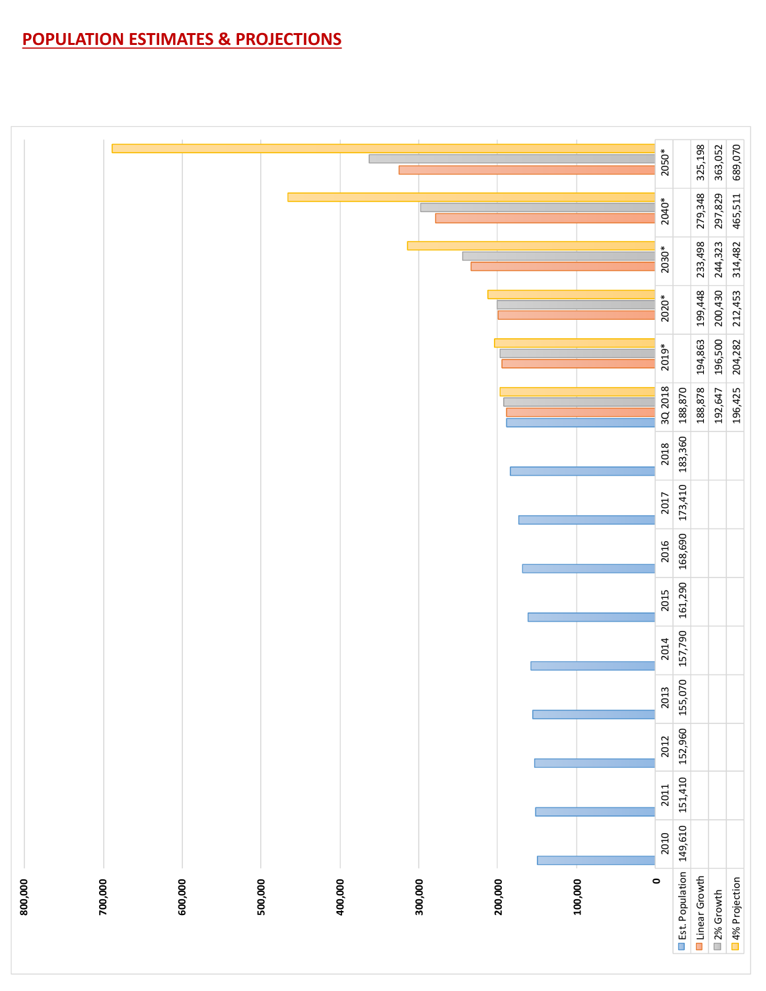## **POPULATION ESTIMATES & PROJECTIONS**